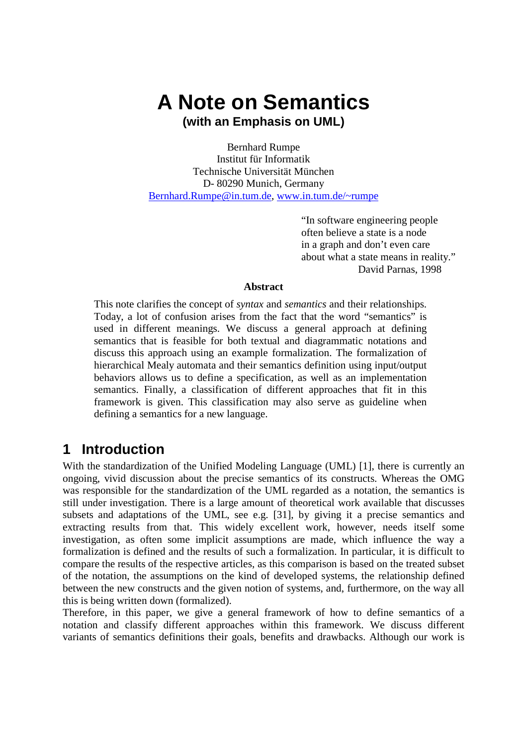# **A Note on Semantics (with an Emphasis on UML)**

Bernhard Rumpe Institut für Informatik Technische Universität München D- 80290 Munich, Germany Bernhard.Rumpe@in.tum.de, www.in.tum.de/~rumpe

> "In software engineering people often believe a state is a node in a graph and don't even care about what a state means in reality." David Parnas, 1998

#### **Abstract**

This note clarifies the concept of *syntax* and *semantics* and their relationships. Today, a lot of confusion arises from the fact that the word "semantics" is used in different meanings. We discuss a general approach at defining semantics that is feasible for both textual and diagrammatic notations and discuss this approach using an example formalization. The formalization of hierarchical Mealy automata and their semantics definition using input/output behaviors allows us to define a specification, as well as an implementation semantics. Finally, a classification of different approaches that fit in this framework is given. This classification may also serve as guideline when defining a semantics for a new language.

### **1 Introduction**

With the standardization of the Unified Modeling Language (UML) [1], there is currently an ongoing, vivid discussion about the precise semantics of its constructs. Whereas the OMG was responsible for the standardization of the UML regarded as a notation, the semantics is still under investigation. There is a large amount of theoretical work available that discusses subsets and adaptations of the UML, see e.g. [31], by giving it a precise semantics and extracting results from that. This widely excellent work, however, needs itself some investigation, as often some implicit assumptions are made, which influence the way a formalization is defined and the results of such a formalization. In particular, it is difficult to compare the results of the respective articles, as this comparison is based on the treated subset of the notation, the assumptions on the kind of developed systems, the relationship defined between the new constructs and the given notion of systems, and, furthermore, on the way all this is being written down (formalized).

Therefore, in this paper, we give a general framework of how to define semantics of a notation and classify different approaches within this framework. We discuss different variants of semantics definitions their goals, benefits and drawbacks. Although our work is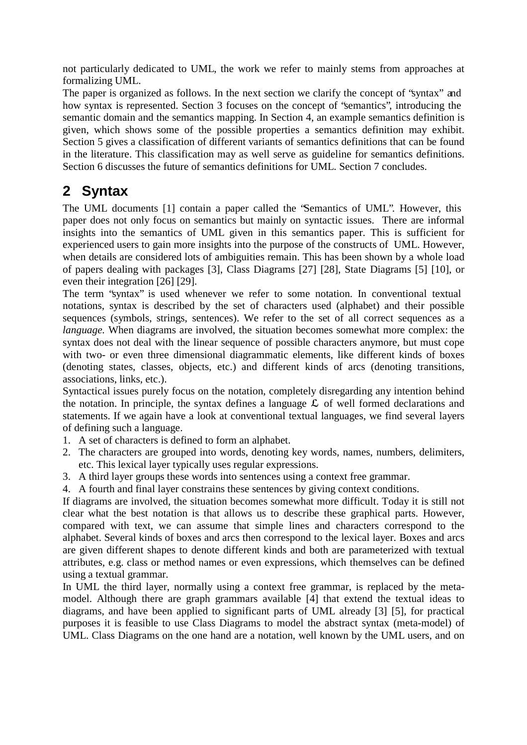not particularly dedicated to UML, the work we refer to mainly stems from approaches at formalizing UML.

The paper is organized as follows. In the next section we clarify the concept of "syntax" and how syntax is represented. Section 3 focuses on the concept of "semantics", introducing the semantic domain and the semantics mapping. In Section 4, an example semantics definition is given, which shows some of the possible properties a semantics definition may exhibit. Section 5 gives a classification of different variants of semantics definitions that can be found in the literature. This classification may as well serve as guideline for semantics definitions. Section 6 discusses the future of semantics definitions for UML. Section 7 concludes.

## **2 Syntax**

The UML documents [1] contain a paper called the "Semantics of UML". However, this paper does not only focus on semantics but mainly on syntactic issues. There are informal insights into the semantics of UML given in this semantics paper. This is sufficient for experienced users to gain more insights into the purpose of the constructs of UML. However, when details are considered lots of ambiguities remain. This has been shown by a whole load of papers dealing with packages [3], Class Diagrams [27] [28], State Diagrams [5] [10], or even their integration [26] [29].

The term "syntax" is used whenever we refer to some notation. In conventional textual notations, syntax is described by the set of characters used (alphabet) and their possible sequences (symbols, strings, sentences). We refer to the set of all correct sequences as a *language*. When diagrams are involved, the situation becomes somewhat more complex: the syntax does not deal with the linear sequence of possible characters anymore, but must cope with two- or even three dimensional diagrammatic elements, like different kinds of boxes (denoting states, classes, objects, etc.) and different kinds of arcs (denoting transitions, associations, links, etc.).

Syntactical issues purely focus on the notation, completely disregarding any intention behind the notation. In principle, the syntax defines a language  $\mathcal L$  of well formed declarations and statements. If we again have a look at conventional textual languages, we find several layers of defining such a language.

- 1. A set of characters is defined to form an alphabet.
- 2. The characters are grouped into words, denoting key words, names, numbers, delimiters, etc. This lexical layer typically uses regular expressions.
- 3. A third layer groups these words into sentences using a context free grammar.
- 4. A fourth and final layer constrains these sentences by giving context conditions.

If diagrams are involved, the situation becomes somewhat more difficult. Today it is still not clear what the best notation is that allows us to describe these graphical parts. However, compared with text, we can assume that simple lines and characters correspond to the alphabet. Several kinds of boxes and arcs then correspond to the lexical layer. Boxes and arcs are given different shapes to denote different kinds and both are parameterized with textual attributes, e.g. class or method names or even expressions, which themselves can be defined using a textual grammar.

In UML the third layer, normally using a context free grammar, is replaced by the metamodel. Although there are graph grammars available [4] that extend the textual ideas to diagrams, and have been applied to significant parts of UML already [3] [5], for practical purposes it is feasible to use Class Diagrams to model the abstract syntax (meta-model) of UML. Class Diagrams on the one hand are a notation, well known by the UML users, and on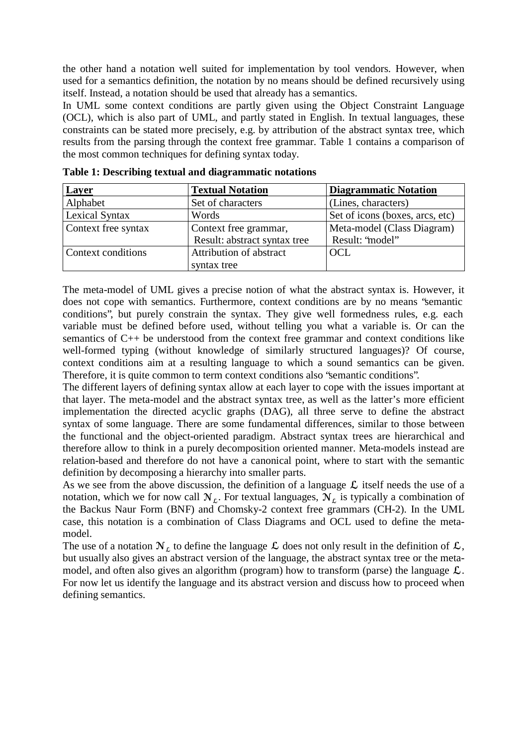the other hand a notation well suited for implementation by tool vendors. However, when used for a semantics definition, the notation by no means should be defined recursively using itself. Instead, a notation should be used that already has a semantics.

In UML some context conditions are partly given using the Object Constraint Language (OCL), which is also part of UML, and partly stated in English. In textual languages, these constraints can be stated more precisely, e.g. by attribution of the abstract syntax tree, which results from the parsing through the context free grammar. Table 1 contains a comparison of the most common techniques for defining syntax today.

| <b>Layer</b>        | <b>Textual Notation</b>      | <b>Diagrammatic Notation</b>    |
|---------------------|------------------------------|---------------------------------|
| Alphabet            | Set of characters            | (Lines, characters)             |
| Lexical Syntax      | Words                        | Set of icons (boxes, arcs, etc) |
| Context free syntax | Context free grammar,        | Meta-model (Class Diagram)      |
|                     | Result: abstract syntax tree | Result: 'model'                 |
| Context conditions  | Attribution of abstract      | OCL                             |
|                     | syntax tree                  |                                 |

**Table 1: Describing textual and diagrammatic notations**

The meta-model of UML gives a precise notion of what the abstract syntax is. However, it does not cope with semantics. Furthermore, context conditions are by no means "semantic conditions", but purely constrain the syntax. They give well formedness rules, e.g. each variable must be defined before used, without telling you what a variable is. Or can the semantics of C++ be understood from the context free grammar and context conditions like well-formed typing (without knowledge of similarly structured languages)? Of course, context conditions aim at a resulting language to which a sound semantics can be given. Therefore, it is quite common to term context conditions also "semantic conditions".

The different layers of defining syntax allow at each layer to cope with the issues important at that layer. The meta-model and the abstract syntax tree, as well as the latter's more efficient implementation the directed acyclic graphs (DAG), all three serve to define the abstract syntax of some language. There are some fundamental differences, similar to those between the functional and the object-oriented paradigm. Abstract syntax trees are hierarchical and therefore allow to think in a purely decomposition oriented manner. Meta-models instead are relation-based and therefore do not have a canonical point, where to start with the semantic definition by decomposing a hierarchy into smaller parts.

As we see from the above discussion, the definition of a language  $\mathcal L$  itself needs the use of a notation, which we for now call  $N_{\epsilon}$ . For textual languages,  $N_{\epsilon}$  is typically a combination of the Backus Naur Form (BNF) and Chomsky-2 context free grammars (CH-2). In the UML case, this notation is a combination of Class Diagrams and OCL used to define the metamodel.

The use of a notation  $\mathcal{N}_k$  to define the language  $\mathcal L$  does not only result in the definition of  $\mathcal L$ , but usually also gives an abstract version of the language, the abstract syntax tree or the metamodel, and often also gives an algorithm (program) how to transform (parse) the language  $\mathcal{L}$ . For now let us identify the language and its abstract version and discuss how to proceed when defining semantics.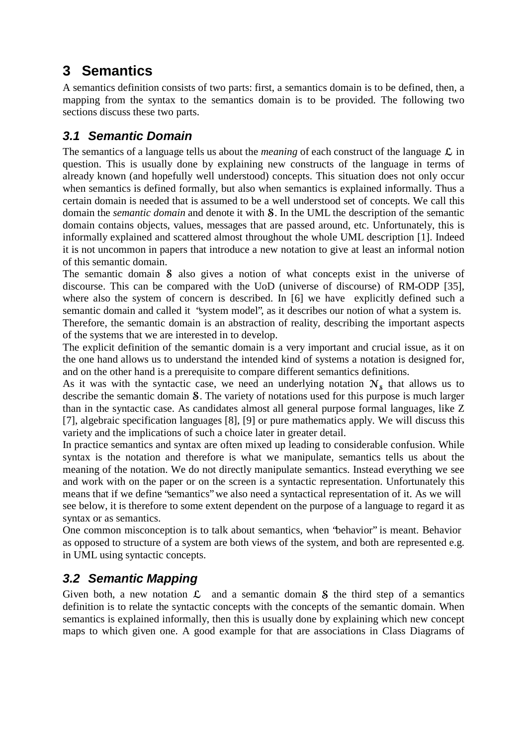# **3 Semantics**

A semantics definition consists of two parts: first, a semantics domain is to be defined, then, a mapping from the syntax to the semantics domain is to be provided. The following two sections discuss these two parts.

### **3.1 Semantic Domain**

The semantics of a language tells us about the *meaning* of each construct of the language  $\mathcal{L}$  in question. This is usually done by explaining new constructs of the language in terms of already known (and hopefully well understood) concepts. This situation does not only occur when semantics is defined formally, but also when semantics is explained informally. Thus a certain domain is needed that is assumed to be a well understood set of concepts. We call this domain the *semantic domain* and denote it with **S**. In the UML the description of the semantic domain contains objects, values, messages that are passed around, etc. Unfortunately, this is informally explained and scattered almost throughout the whole UML description [1]. Indeed it is not uncommon in papers that introduce a new notation to give at least an informal notion of this semantic domain.

The semantic domain  $\delta$  also gives a notion of what concepts exist in the universe of discourse. This can be compared with the UoD (universe of discourse) of RM-ODP [35], where also the system of concern is described. In [6] we have explicitly defined such a semantic domain and called it "system model", as it describes our notion of what a system is.

Therefore, the semantic domain is an abstraction of reality, describing the important aspects of the systems that we are interested in to develop.

The explicit definition of the semantic domain is a very important and crucial issue, as it on the one hand allows us to understand the intended kind of systems a notation is designed for, and on the other hand is a prerequisite to compare different semantics definitions.

As it was with the syntactic case, we need an underlying notation  $N_s$  that allows us to describe the semantic domain  $S$ . The variety of notations used for this purpose is much larger than in the syntactic case. As candidates almost all general purpose formal languages, like Z [7], algebraic specification languages [8], [9] or pure mathematics apply. We will discuss this variety and the implications of such a choice later in greater detail.

In practice semantics and syntax are often mixed up leading to considerable confusion. While syntax is the notation and therefore is what we manipulate, semantics tells us about the meaning of the notation. We do not directly manipulate semantics. Instead everything we see and work with on the paper or on the screen is a syntactic representation. Unfortunately this means that if we define "semantics" we also need a syntactical representation of it. As we will see below, it is therefore to some extent dependent on the purpose of a language to regard it as syntax or as semantics.

One common misconception is to talk about semantics, when "behavior" is meant. Behavior as opposed to structure of a system are both views of the system, and both are represented e.g. in UML using syntactic concepts.

### **3.2 Semantic Mapping**

Given both, a new notation  $\mathcal{L}$  and a semantic domain  $\mathcal{S}$  the third step of a semantics definition is to relate the syntactic concepts with the concepts of the semantic domain. When semantics is explained informally, then this is usually done by explaining which new concept maps to which given one. A good example for that are associations in Class Diagrams of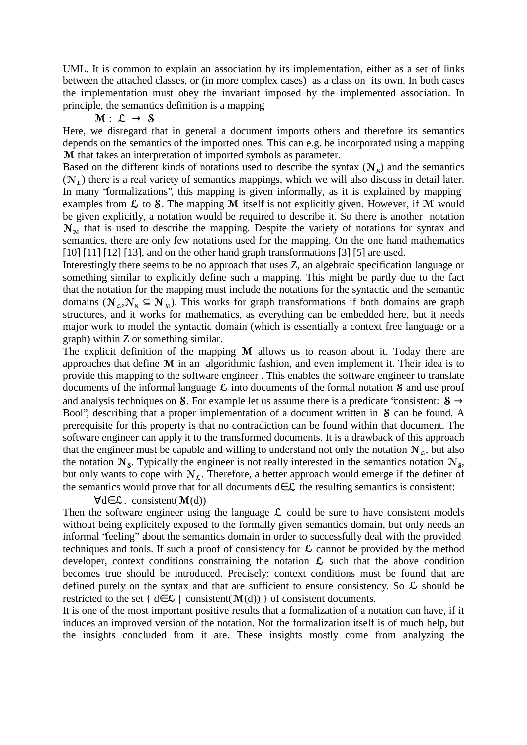UML. It is common to explain an association by its implementation, either as a set of links between the attached classes, or (in more complex cases) as a class on its own. In both cases the implementation must obey the invariant imposed by the implemented association. In principle, the semantics definition is a mapping

$$
\mathfrak{M} \,\colon\; \mathcal{L} \,\to\, \mathsf{S}
$$

Here, we disregard that in general a document imports others and therefore its semantics d epends on the semantics of the imported ones. This can e.g. be incorporated using a mapping M that takes an interpretation of imported symbols as parameter.

Based on the different kinds of notations used to describe the syntax  $(N_s)$  and the semantics  $(N<sub>c</sub>)$  there is a real variety of semantics mappings, which we will also discuss in detail later. In many "formalizations", this mapping is given informally, as it is explained by mapping examples from  $\mathcal L$  to  $\mathcal S$ . The mapping M itself is not explicitly given. However, if M would be given explicitly, a notation would be required to describe it. So there is another notation  $\mathcal{N}_{\mathcal{M}}$  that is used to describe the mapping. Despite the variety of notations for syntax and semantics, there are only few notations used for the mapping. On the one hand mathematics [10] [11] [12] [13], and on the other hand graph transformations [3] [5] are used.

Interestingly there seems to be no approach that uses Z, an algebraic specification language or something similar to explicitly define such a mapping. This might be partly due to the fact that the notation for the mapping must include the notations for the syntactic and the semantic domains ( $N_{\varepsilon}, N_{s} \subseteq N_{\mathcal{M}}$ ). This works for graph transformations if both domains are graph structures, and it works for mathematics, as everything can be embedded here, but it needs major work to model the syntactic domain (which is essentially a context free language or a graph) within Z or something similar.

The explicit definition of the mapping  $M$  allows us to reason about it. Today there are approaches that define  $M$  in an algorithmic fashion, and even implement it. Their idea is to provide this mapping to the software engineer . This enables the software engineer to translate documents of the informal language  $\mathcal L$  into documents of the formal notation  $\mathcal S$  and use proof and analysis techniques on S. For example let us assume there is a predicate "consistent:  $S \rightarrow$ Bool", describing that a proper implementation of a document written in S can be found. A prerequisite for this property is that no contradiction can be found within that document. The software engineer can apply it to the transformed documents. It is a drawback of this approach that the engineer must be capable and willing to understand not only the notation  $N<sub>f</sub>$ , but also the notation  $\mathcal{N}_s$ . Typically the engineer is not really interested in the semantics notation  $\mathcal{N}_s$ , but only wants to cope with  $N_{\mathcal{L}}$ . Therefore, a better approach would emerge if the definer of the semantics would prove that for all documents d $\in \mathcal{L}$  the resulting semantics is consistent:

#### $\forall d \in \mathcal{L}$ . consistent(M(d))

Then the software engineer using the language  $\mathcal L$  could be sure to have consistent models without being explicitely exposed to the formally given semantics domain, but only needs an informal "feeling" about the semantics domain in order to successfully deal with the provided techniques and tools. If such a proof of consistency for  $\mathcal L$  cannot be provided by the method developer, context conditions constraining the notation  $\mathcal{L}$  such that the above condition becomes true should be introduced. Precisely: context conditions must be found that are defined purely on the syntax and that are sufficient to ensure consistency. So  $\mathcal L$  should be restricted to the set {  $d \in \mathcal{L}$  | consistent( $\mathcal{M}(d)$ ) } of consistent documents.

It is one of the most important positive results that a formalization of a notation can have, if it induces an improved version of the notation. Not the formalization itself is of much help, but the insights concluded from it are. These insights mostly come from analyzing the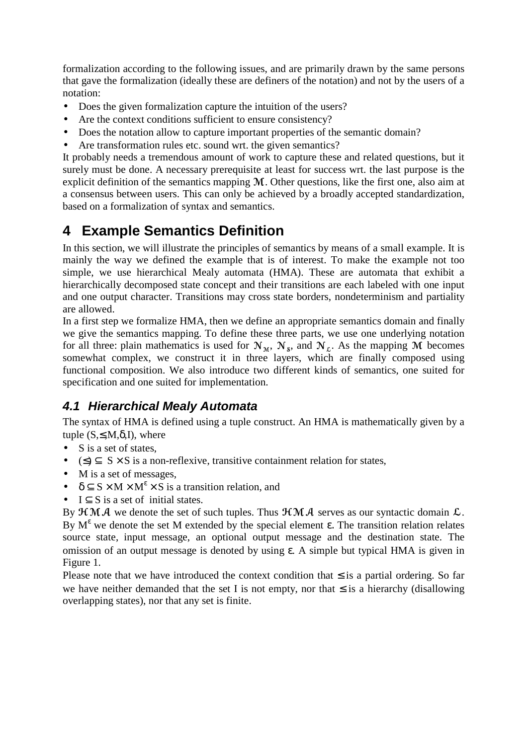formalization according to the following issues, and are primarily drawn by the same persons that gave the formalization (ideally these are definers of the notation) and not by the users of a notation:

- Does the given formalization capture the intuition of the users?
- Are the context conditions sufficient to ensure consistency?
- Does the notation allow to capture important properties of the semantic domain?
- Are transformation rules etc. sound wrt. the given semantics?

It probably needs a tremendous amount of work to capture these and related questions, but it surely must be done. A necessary prerequisite at least for success wrt. the last purpose is the explicit definition of the semantics mapping  $M$ . Other questions, like the first one, also aim at a consensus between users. This can only be achieved by a broadly accepted standardization, based on a formalization of syntax and semantics.

# **4 Example Semantics Definition**

In this section, we will illustrate the principles of semantics by means of a small example. It is mainly the way we defined the example that is of interest. To make the example not too simple, we use hierarchical Mealy automata (HMA). These are automata that exhibit a hierarchically decomposed state concept and their transitions are each labeled with one input and one output character. Transitions may cross state borders, nondeterminism and partiality are allowed.

In a first step we formalize HMA, then we define an appropriate semantics domain and finally we give the semantics mapping. To define these three parts, we use one underlying notation for all three: plain mathematics is used for  $N_M$ ,  $N_s$ , and  $N_L$ . As the mapping M becomes somewhat complex, we construct it in three layers, which are finally composed using functional composition. We also introduce two different kinds of semantics, one suited for specification and one suited for implementation.

### **4.1 Hierarchical Mealy Automata**

The syntax of HMA is defined using a tuple construct. An HMA is mathematically given by a tuple  $(S, \leq, M, \delta, I)$ , where

- S is a set of states,
- $(\leq)$   $\subset$  S  $\times$  S is a non-reflexive, transitive containment relation for states,
- M is a set of messages,
- $\delta \subseteq S \times M \times M^{\epsilon} \times S$  is a transition relation, and
- $I \subset S$  is a set of initial states.

By  $\mathcal{HM}$  we denote the set of such tuples. Thus  $\mathcal{HM}$  as serves as our syntactic domain  $\mathcal{L}$ . . By  $M^{\varepsilon}$  we denote the set M extended by the special element ε. The transition relation relates source state, input message, an optional output message and the destination state. The omission of an output message is denoted by using ε. A simple but typical HMA is given in Figure 1.

Please note that we have introduced the context condition that  $\leq$  is a partial ordering. So far we have neither demanded that the set I is not empty, nor that  $\leq$  is a hierarchy (disallowing overlapping states), nor that any set is finite.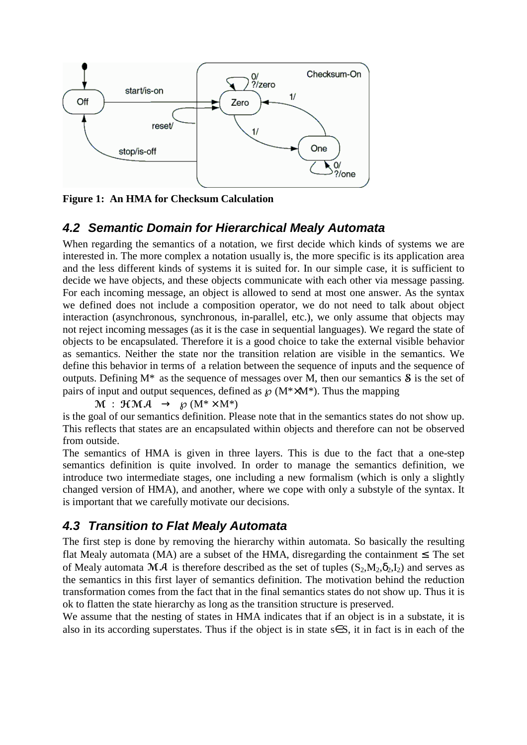

**Figure 1: An HMA for Checksum Calculation**

### **4.2 Semantic Domain for Hierarchical Mealy Automata**

When regarding the semantics of a notation, we first decide which kinds of systems we are interested in. The more complex a notation usually is, the more specific is its application area and the less different kinds of systems it is suited for. In our simple case, it is sufficient to decide we have objects, and these objects communicate with each other via message passing. For each incoming message, an object is allowed to send at most one answer. As the syntax we defined does not include a composition operator, we do not need to talk about object interaction (asynchronous, synchronous, in-parallel, etc.), we only assume that objects may not reject incoming messages (as it is the case in sequential languages). We regard the state of objects to be encapsulated. Therefore it is a good choice to take the external visible behavior as semantics. Neither the state nor the transition relation are visible in the semantics. We define this behavior in terms of a relation between the sequence of inputs and the sequence of outputs. Defining  $M^*$  as the sequence of messages over M, then our semantics  $\delta$  is the set of pairs of input and output sequences, defined as  $\mathcal{O}(M^* \times M^*)$ . Thus the mapping

 $\operatorname{\mathcal{M}}\ :\ \operatorname{\mathcal{H}}\operatorname{\mathcal{M}}\operatorname{\mathcal{A}}\ \ \rightarrow\ \ \operatorname{\mathcal{G}}\nolimits(\operatorname{M}^*\!\times\operatorname{M}^*)$ 

is the goal of our semantics definition. Please note that in the semantics states do not show up. This reflects that states are an encapsulated within objects and therefore can not be observed from outside.

The semantics of HMA is given in three layers. This is due to the fact that a one-step semantics definition is quite involved. In order to manage the semantics definition, we introduce two intermediate stages, one including a new formalism (which is only a slightly changed version of HMA), and another, where we cope with only a substyle of the syntax. It is important that we carefully motivate our decisions.

### **4.3 Transition to Flat Mealy Automata**

The first step is done by removing the hierarchy within automata. So basically the resulting flat Mealy automata (MA) are a subset of the HMA, disregarding the containment  $\leq$ . The set of Mealy automata  $\mathcal{M} \mathcal{A}$  is therefore described as the set of tuples  $(S_2,M_2,\delta_2,I_2)$  and serves as the semantics in this first layer of semantics definition. The motivation behind the reduction transformation comes from the fact that in the final semantics states do not show up. Thus it is ok to flatten the state hierarchy as long as the transition structure is preserved.

We assume that the nesting of states in HMA indicates that if an object is in a substate, it is also in its according superstates. Thus if the object is in state s∈S, it in fact is in each of the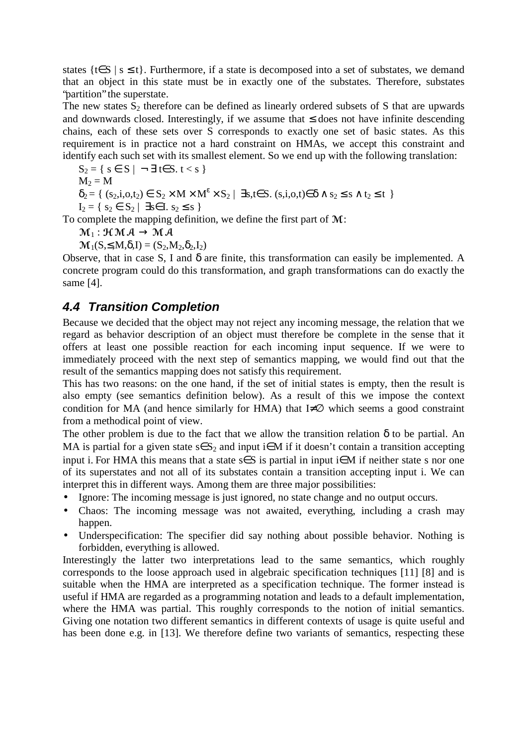states {t∈S | s ≤ t}. Furthermore, if a state is decomposed into a set of substates, we demand that an object in this state must be in exactly one of the substates. Therefore, substates "partition" the superstate.

The new states  $S_2$  therefore can be defined as linearly ordered subsets of S that are upwards and downwards closed. Interestingly, if we assume that  $\leq$  does not have infinite descending chains, each of these sets over S corresponds to exactly one set of basic states. As this requirement is in practice not a hard constraint on HMAs, we accept this constraint and identify each such set with its smallest element. So we end up with the following translation:

$$
S_2=\{\ s\in\,S\ |\ \neg\ \exists\ t{\in}S.\ t < s\ \}
$$

 $M_2 = M$ 

 $\delta_2 = \{ (s_2, i, o, t_2) \in S_2 \times M \times M^{\varepsilon} \times S_2 \mid \exists s, t \in S \ldotp (s, i, o, t) \in \delta \land s_2 \leq s \land t_2 \leq t \}$ 

 $I_2 = \{ s_2 \in S_2 \mid \exists s \in I. s_2 \le s \}$ 

To complete the mapping definition, we define the first part of  $M$ :

 $\mathcal{M}_1 : \mathcal{HM} \ \mathcal{A} \, \rightarrow \mathcal{MA}$ 

 $\mathcal{M}_1(S, \leq, M, \delta, I) = (S_2, M_2, \delta_2, I_2)$ 

Observe, that in case S, I and  $\delta$  are finite, this transformation can easily be implemented. A concrete program could do this transformation, and graph transformations can do exactly the same [4].

### **4.4 Transition Completion**

Because we decided that the object may not reject any incoming message, the relation that we regard as behavior description of an object must therefore be complete in the sense that it offers at least one possible reaction for each incoming input sequence. If we were to immediately proceed with the next step of semantics mapping, we would find out that the result of the semantics mapping does not satisfy this requirement.

This has two reasons: on the one hand, if the set of initial states is empty, then the result is also empty (see semantics definition below). As a result of this we impose the context condition for MA (and hence similarly for HMA) that I≠ $\varnothing$  which seems a good constraint from a methodical point of view.

The other problem is due to the fact that we allow the transition relation  $\delta$  to be partial. An MA is partial for a given state  $s \in S_2$  and input i $\in M$  if it doesn't contain a transition accepting input i. For HMA this means that a state  $s \in S$  is partial in input i $\in M$  if neither state s nor one of its superstates and not all of its substates contain a transition accepting input i. We can interpret this in different ways. Among them are three major possibilities:

- Ignore: The incoming message is just ignored, no state change and no output occurs.
- Chaos: The incoming message was not awaited, everything, including a crash may happen.
- Underspecification: The specifier did say nothing about possible behavior. Nothing is forbidden, everything is allowed.

Interestingly the latter two interpretations lead to the same semantics, which roughly corresponds to the loose approach used in algebraic specification techniques [11] [8] and is suitable when the HMA are interpreted as a specification technique. The former instead is useful if HMA are regarded as a programming notation and leads to a default implementation, where the HMA was partial. This roughly corresponds to the notion of initial semantics. Giving one notation two different semantics in different contexts of usage is quite useful and has been done e.g. in [13]. We therefore define two variants of semantics, respecting these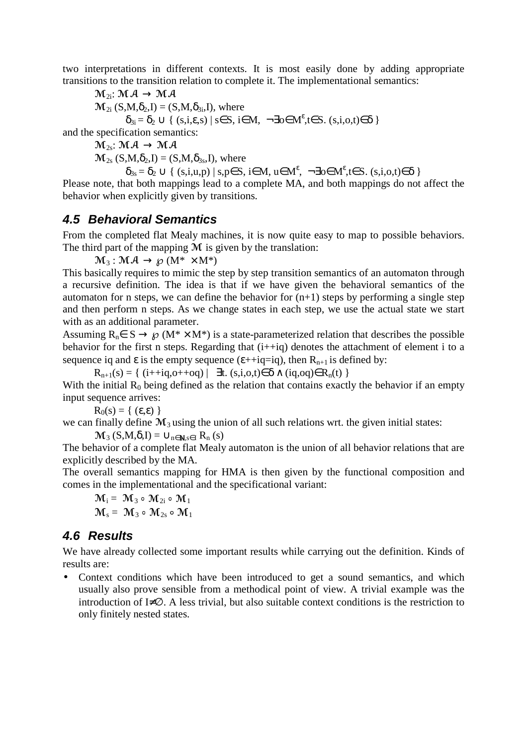two interpretations in different contexts. It is most easily done by adding appropriate transitions to the transition relation to complete it. The implementational semantics:

 ${\mathcal{M}}_{2 {\mathbf{i}}}\colon {\mathcal{M}}\hspace{.025cm}{\mathcal{A}} \,\longrightarrow\, {\mathcal{M}}\hspace{.025cm}{\mathcal{A}}$  $\mathbf{M}_{2i}$  (S,M, $\delta_2$ ,I) = (S,M, $\delta_{3i}$ ,I), where  $\delta_{3i} = \delta_2 \cup \{ (s,i,\varepsilon,s) \mid s \in S, i \in M, \neg \exists o \in M^{\varepsilon}, t \in S. (s,i,o,t) \in \delta \}$ and the specification semantics:

 ${\mathcal M}_{\rm 2s}\! \colon {\mathcal M} \: {\mathcal A} \, \longrightarrow \, {\mathcal M} \: {\mathcal A}$  $\mathcal{M}_{2s}$  (S,M, $\delta_2$ ,I) = (S,M, $\delta_{3s}$ ,I), where

$$
\delta_{3s}\!=\!\delta_2\cup\{\;(s,i,u,p)\mid s,p\!\in\!S,\,i\!\in\!M,\,u\!\in\!M^\epsilon,\;\lnot\!\exists o\!\in\!M^\epsilon,\,t\!\in\!S.\;(s,i,o,t)\!\!\in\!\delta\;\}
$$

Please note, that both mappings lead to a complete MA, and both mappings do not affect the behavior when explicitly given by transitions.

#### **4.5 Behavioral Semantics**

From the completed flat Mealy machines, it is now quite easy to map to possible behaviors. The third part of the mapping  $M$  is given by the translation:

 ${\mathcal M}_{\,3}: {\mathcal M}\ ${\mathcal A} \to {\mathcal G}(M^* \times M^*)$$ 

This basically requires to mimic the step by step transition semantics of an automaton through a recursive definition. The idea is that if we have given the behavioral semantics of the automaton for n steps, we can define the behavior for  $(n+1)$  steps by performing a single step and then perform n steps. As we change states in each step, we use the actual state we start with as an additional parameter.

Assuming  $R_n \in S \to \mathcal{D}(M^* \times M^*)$  is a state-parameterized relation that describes the possible behavior for the first n steps. Regarding that  $(i+iq)$  denotes the attachment of element i to a sequence iq and  $\varepsilon$  is the empty sequence ( $\varepsilon$ ++iq=iq), then  $R_{n+1}$  is defined by:

 $R_{n+1}(s) = \{ (i+iq, o+iq) | \exists t. (s,i,o,t) \in \delta \wedge (iq, oq) \in R_n(t) \}$ 

With the initial  $R_0$  being defined as the relation that contains exactly the behavior if an empty input sequence arrives:

 $R_0(s) = \{ (\varepsilon, \varepsilon) \}$ 

we can finally define  $M_3$  using the union of all such relations wrt. the given initial states:

 $\mathcal{M}_3$  (S,M, $\delta$ ,I) =  $\cup_{n \in \mathbb{N}, s \in I}$  R<sub>n</sub> (s)

The behavior of a complete flat Mealy automaton is the union of all behavior relations that are explicitly described by the MA.

The overall semantics mapping for HMA is then given by the functional composition and comes in the implementational and the specificational variant:

 $\mathbf{\mathcal{M}}_{\,\mathrm{i}} = \;\mathbf{\mathcal{M}}_{\,3} \;\mathbin{\circ}\;\mathbf{\mathcal{M}}_{\,2\mathrm{i}} \;\mathbin{\circ}\;\mathbf{\mathcal{M}}_{\,1}$  $\mathcal{M}_s = \mathcal{M}_3 \circ \mathcal{M}_2 \circ \mathcal{M}_1$ 

### **4.6 Results**

We have already collected some important results while carrying out the definition. Kinds of results are:

• Context conditions which have been introduced to get a sound semantics, and which usually also prove sensible from a methodical point of view. A trivial example was the introduction of I≠∅. A less trivial, but also suitable context conditions is the restriction to only finitely nested states.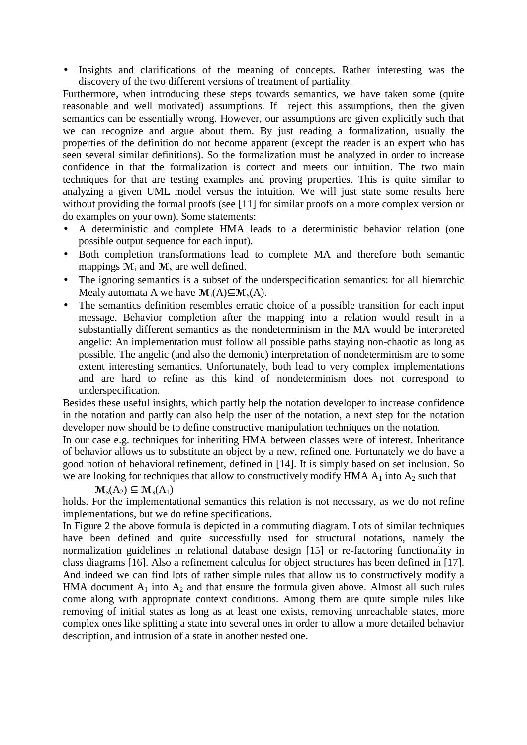• Insights and clarifications of the meaning of concepts. Rather interesting was the discovery of the two different versions of treatment of partiality.

Furthermore, when introducing these steps towards semantics, we have taken some (quite reasonable and well motivated) assumptions. If reject this assumptions, then the given semantics can be essentially wrong. However, our assumptions are given explicitly such that we can recognize and argue about them. By just reading a formalization, usually the properties of the definition do not become apparent (except the reader is an expert who has seen several similar definitions). So the formalization must be analyzed in order to increase confidence in that the formalization is correct and meets our intuition. The two main techniques for that are testing examples and proving properties. This is quite similar to analyzing a given UML model versus the intuition. We will just state some results here without providing the formal proofs (see [11] for similar proofs on a more complex version or do examples on your own). Some statements:

- A deterministic and complete HMA leads to a deterministic behavior relation (one possible output sequence for each input).
- Both completion transformations lead to complete MA and therefore both semantic mappings  $M_i$  and  $M_s$  are well defined.
- The ignoring semantics is a subset of the underspecification semantics: for all hierarchic Mealy automata A we have  $\mathcal{M}_i(A) \subseteq \mathcal{M}_s(A)$ .
- The semantics definition resembles erratic choice of a possible transition for each input message. Behavior completion after the mapping into a relation would result in a substantially different semantics as the nondeterminism in the MA would be interpreted angelic: An implementation must follow all possible paths staying non-chaotic as long as possible. The angelic (and also the demonic) interpretation of nondeterminism are to some extent interesting semantics. Unfortunately, both lead to very complex implementations and are hard to refine as this kind of nondeterminism does not correspond to underspecification.

Besides these useful insights, which partly help the notation developer to increase confidence in the notation and partly can also help the user of the notation, a next step for the notation developer now should be to define constructive manipulation techniques on the notation.

In our case e.g. techniques for inheriting HMA between classes were of interest. Inheritance of behavior allows us to substitute an object by a new, refined one. Fortunately we do have a good notion of behavioral refinement, defined in [14]. It is simply based on set inclusion. So we are looking for techniques that allow to constructively modify HMA  $A_1$  into  $A_2$  such that

 $\mathcal{M}_s(A_2) \subset \mathcal{M}_s(A_1)$ 

holds. For the implementational semantics this relation is not necessary, as we do not refine implementations, but we do refine specifications.

In Figure 2 the above formula is depicted in a commuting diagram. Lots of similar techniques have been defined and quite successfully used for structural notations, namely the normalization guidelines in relational database design [15] or re-factoring functionality in class diagrams [16]. Also a refinement calculus for object structures has been defined in [17]. And indeed we can find lots of rather simple rules that allow us to constructively modify a HMA document  $A_1$  into  $A_2$  and that ensure the formula given above. Almost all such rules come along with appropriate context conditions. Among them are quite simple rules like removing of initial states as long as at least one exists, removing unreachable states, more complex ones like splitting a state into several ones in order to allow a more detailed behavior description, and intrusion of a state in another nested one.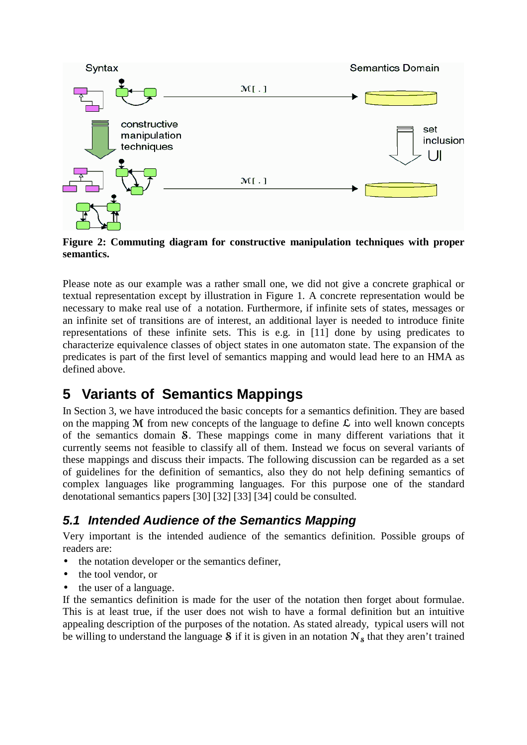

**Figure 2: Commuting diagram for constructive manipulation techniques with proper semantics.**

Please note as our example was a rather small one, we did not give a concrete graphical or textual representation except by illustration in Figure 1. A concrete representation would be necessary to make real use of a notation. Furthermore, if infinite sets of states, messages or an infinite set of transitions are of interest, an additional layer is needed to introduce finite representations of these infinite sets. This is e.g. in [11] done by using predicates to characterize equivalence classes of object states in one automaton state. The expansion of the predicates is part of the first level of semantics mapping and would lead here to an HMA as defined above.

## **5 Variants of Semantics Mappings**

In Section 3, we have introduced the basic concepts for a semantics definition. They are based on the mapping  $M$  from new concepts of the language to define  $\mathcal L$  into well known concepts of the semantics domain S. These mappings come in many different variations that it currently seems not feasible to classify all of them. Instead we focus on several variants of these mappings and discuss their impacts. The following discussion can be regarded as a set of guidelines for the definition of semantics, also they do not help defining semantics of complex languages like programming languages. For this purpose one of the standard denotational semantics papers [30] [32] [33] [34] could be consulted.

### **5.1 Intended Audience of the Semantics Mapping**

Very important is the intended audience of the semantics definition. Possible groups of readers are:

- the notation developer or the semantics definer,
- the tool vendor, or
- the user of a language.

If the semantics definition is made for the user of the notation then forget about formulae. This is at least true, if the user does not wish to have a formal definition but an intuitive appealing description of the purposes of the notation. As stated already, typical users will not be willing to understand the language S if it is given in an notation  $N_s$  that they aren't trained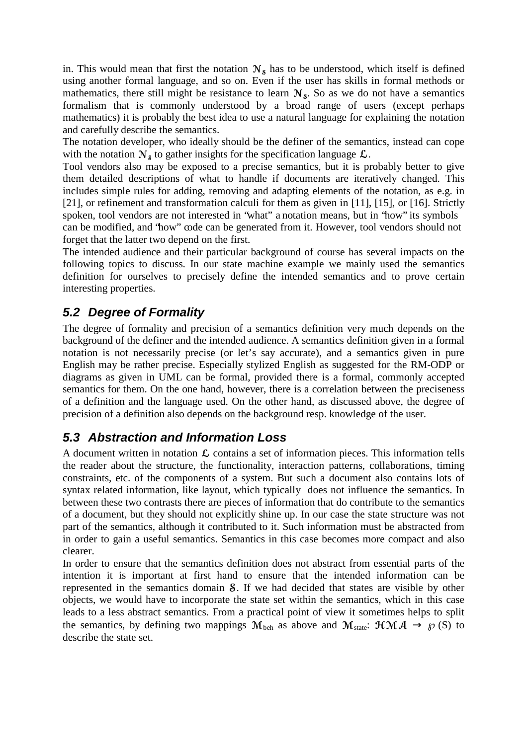in. This would mean that first the notation  $N_s$  has to be understood, which itself is defined using another formal language, and so on. Even if the user has skills in formal methods or mathematics, there still might be resistance to learn  $N_s$ . So as we do not have a semantics formalism that is commonly understood by a broad range of users (except perhaps mathematics) it is probably the best idea to use a natural language for explaining the notation and carefully describe the semantics.

The notation developer, who ideally should be the definer of the semantics, instead can cope with the notation  $N_s$  to gather insights for the specification language  $\mathcal{L}$ . .

Tool vendors also may be exposed to a precise semantics, but it is probably better to give them detailed descriptions of what to handle if documents are iteratively changed. This includes simple rules for adding, removing and adapting elements of the notation, as e.g. in [21], or refinement and transformation calculi for them as given in [11], [15], or [16]. Strictly spoken, tool vendors are not interested in "what" a notation means, but in "how" its symbols can be modified, and "how" code can be generated from it. However, tool vendors should not forget that the latter two depend on the first.

The intended audience and their particular background of course has several impacts on the following topics to discuss. In our state machine example we mainly used the semantics definition for ourselves to precisely define the intended semantics and to prove certain interesting properties.

### **5.2 Degree of Formality**

The degree of formality and precision of a semantics definition very much depends on the background of the definer and the intended audience. A semantics definition given in a formal notation is not necessarily precise (or let's say accurate), and a semantics given in pure English may be rather precise. Especially stylized English as suggested for the RM-ODP or diagrams as given in UML can be formal, provided there is a formal, commonly accepted semantics for them. On the one hand, however, there is a correlation between the preciseness of a definition and the language used. On the other hand, as discussed above, the degree of precision of a definition also depends on the background resp. knowledge of the user.

### **5.3 Abstraction and Information Loss**

A document written in notation  $\mathcal L$  contains a set of information pieces. This information tells the reader about the structure, the functionality, interaction patterns, collaborations, timing constraints, etc. of the components of a system. But such a document also contains lots of syntax related information, like layout, which typically does not influence the semantics. In between these two contrasts there are pieces of information that do contribute to the semantics of a document, but they should not explicitly shine up. In our case the state structure was not part of the semantics, although it contributed to it. Such information must be abstracted from in order to gain a useful semantics. Semantics in this case becomes more compact and also clearer.

In order to ensure that the semantics definition does not abstract from essential parts of the intention it is important at first hand to ensure that the intended information can be represented in the semantics domain **S**. If we had decided that states are visible by other objects, we would have to incorporate the state set within the semantics, which in this case leads to a less abstract semantics. From a practical point of view it sometimes helps to split the semantics, by defining two mappings  $\mathcal{M}_{beh}$  as above and  $\mathcal{M}_{state}$ :  $\mathcal{H}\mathcal{M}\mathcal{A} \rightarrow \mathcal{O}(S)$  to describe the state set.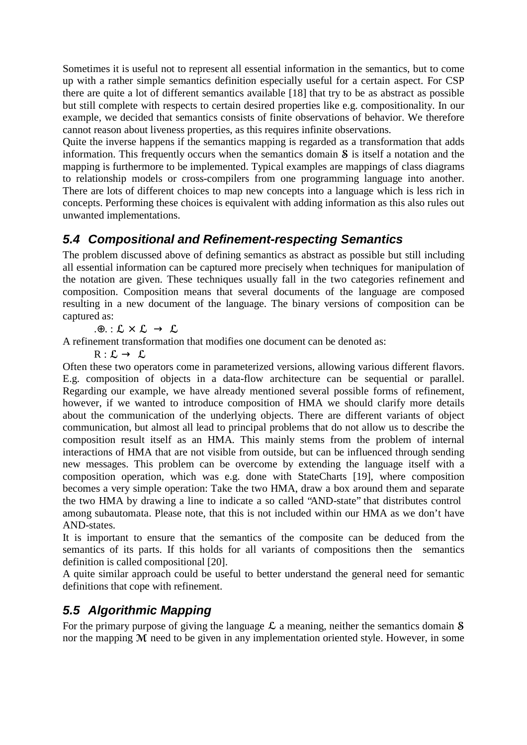Sometimes it is useful not to represent all essential information in the semantics, but to come up with a rather simple semantics definition especially useful for a certain aspect. For CSP there are quite a lot of different semantics available [18] that try to be as abstract as possible but still complete with respects to certain desired properties like e.g. compositionality. In our example, we decided that semantics consists of finite observations of behavior. We therefore cannot reason about liveness properties, as this requires infinite observations.

Quite the inverse happens if the semantics mapping is regarded as a transformation that adds information. This frequently occurs when the semantics domain  $\delta$  is itself a notation and the mapping is furthermore to be implemented. Typical examples are mappings of class diagrams to relationship models or cross-compilers from one programming language into another. There are lots of different choices to map new concepts into a language which is less rich in concepts. Performing these choices is equivalent with adding information as this also rules out unwanted implementations.

### **5.4 Compositional and Refinement-respecting Semantics**

The problem discussed above of defining semantics as abstract as possible but still including all essential information can be captured more precisely when techniques for manipulation of the notation are given. These techniques usually fall in the two categories refinement and composition. Composition means that several documents of the language are composed resulting in a new document of the language. The binary versions of composition can be captured as:

 $\cdot \oplus$  :  $\mathcal{L} \times \mathcal{L} \rightarrow \mathcal{L}$ 

A refinement transformation that modifies one document can be denoted as:

 $R : L \rightarrow L$ 

Often these two operators come in parameterized versions, allowing various different flavors. E.g. composition of objects in a data-flow architecture can be sequential or parallel. Regarding our example, we have already mentioned several possible forms of refinement, however, if we wanted to introduce composition of HMA we should clarify more details about the communication of the underlying objects. There are different variants of object communication, but almost all lead to principal problems that do not allow us to describe the composition result itself as an HMA. This mainly stems from the problem of internal interactions of HMA that are not visible from outside, but can be influenced through sending new messages. This problem can be overcome by extending the language itself with a composition operation, which was e.g. done with StateCharts [19], where composition becomes a very simple operation: Take the two HMA, draw a box around them and separate the two HMA by drawing a line to indicate a so called "AND-state" that distributes control among subautomata. Please note, that this is not included within our HMA as we don't have AND-states.

It is important to ensure that the semantics of the composite can be deduced from the semantics of its parts. If this holds for all variants of compositions then the semantics definition is called compositional [20].

A quite similar approach could be useful to better understand the general need for semantic definitions that cope with refinement.

### **5.5 Algorithmic Mapping**

For the primary purpose of giving the language  $\mathcal L$  a meaning, neither the semantics domain  $\mathcal S$ nor the mapping M need to be given in any implementation oriented style. However, in some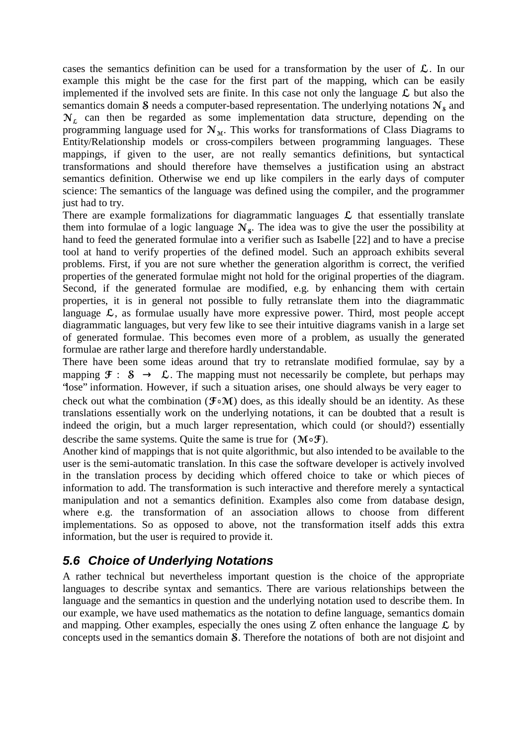cases the semantics definition can be used for a transformation by the user of  $\mathcal{L}$ . In our example this might be the case for the first part of the mapping, which can be easily implemented if the involved sets are finite. In this case not only the language  $\mathcal L$  but also the semantics domain S needs a computer-based representation. The underlying notations  $N_s$  and  $N<sub>L</sub>$  can then be regarded as some implementation data structure, depending on the programming language used for  $N<sub>M</sub>$ . This works for transformations of Class Diagrams to Entity/Relationship models or cross-compilers between programming languages. These mappings, if given to the user, are not really semantics definitions, but syntactical transformations and should therefore have themselves a justification using an abstract semantics definition. Otherwise we end up like compilers in the early days of computer science: The semantics of the language was defined using the compiler, and the programmer just had to try.

There are example formalizations for diagrammatic languages  $\mathcal L$  that essentially translate them into formulae of a logic language  $N_s$ . The idea was to give the user the possibility at hand to feed the generated formulae into a verifier such as Isabelle [22] and to have a precise tool at hand to verify properties of the defined model. Such an approach exhibits several problems. First, if you are not sure whether the generation algorithm is correct, the verified properties of the generated formulae might not hold for the original properties of the diagram. Second, if the generated formulae are modified, e.g. by enhancing them with certain properties, it is in general not possible to fully retranslate them into the diagrammatic language  $\mathcal{L}$ , as formulae usually have more expressive power. Third, most people accept diagrammatic languages, but very few like to see their intuitive diagrams vanish in a large set of generated formulae. This becomes even more of a problem, as usually the generated formulae are rather large and therefore hardly understandable.

There have been some ideas around that try to retranslate modified formulae, say by a mapping  $\mathfrak{F}: \mathfrak{F} \to \mathfrak{L}$ . The mapping must not necessarily be complete, but perhaps may "lose" information. However, if such a situation arises, one should always be very eager to check out what the combination ( $\mathfrak{F} \circ \mathfrak{M}$ ) does, as this ideally should be an identity. As these translations essentially work on the underlying notations, it can be doubted that a result is indeed the origin, but a much larger representation, which could (or should?) essentially describe the same systems. Quite the same is true for  $(M \circ \mathcal{F})$ .

Another kind of mappings that is not quite algorithmic, but also intended to be available to the user is the semi-automatic translation. In this case the software developer is actively involved in the translation process by deciding which offered choice to take or which pieces of information to add. The transformation is such interactive and therefore merely a syntactical manipulation and not a semantics definition. Examples also come from database design, where e.g. the transformation of an association allows to choose from different implementations. So as opposed to above, not the transformation itself adds this extra information, but the user is required to provide it.

### **5.6 Choice of Underlying Notations**

A rather technical but nevertheless important question is the choice of the appropriate languages to describe syntax and semantics. There are various relationships between the language and the semantics in question and the underlying notation used to describe them. In our example, we have used mathematics as the notation to define language, semantics domain and mapping. Other examples, especially the ones using Z often enhance the language  $\mathcal L$  by concepts used in the semantics domain **S**. Therefore the notations of both are not disjoint and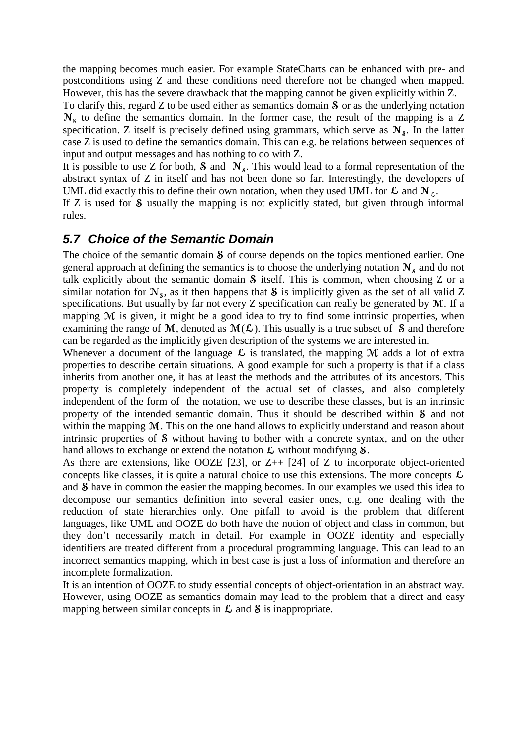the mapping becomes much easier. For example StateCharts can be enhanced with pre- and postconditions using Z and these conditions need therefore not be changed when mapped. However, this has the severe drawback that the mapping cannot be given explicitly within Z.

To clarify this, regard  $Z$  to be used either as semantics domain  $S$  or as the underlying notation  $N<sub>s</sub>$  to define the semantics domain. In the former case, the result of the mapping is a Z specification. Z itself is precisely defined using grammars, which serve as  $N_s$ . In the latter case Z is used to define the semantics domain. This can e.g. be relations between sequences of input and output messages and has nothing to do with Z.

It is possible to use Z for both, S and  $\mathcal{N}_s$ . This would lead to a formal representation of the abstract syntax of Z in itself and has not been done so far. Interestingly, the developers of UML did exactly this to define their own notation, when they used UML for  $\mathcal L$  and  $N_{\mathcal L}$ .

If  $Z$  is used for  $S$  usually the mapping is not explicitly stated, but given through informal rules.

#### **5.7 Choice of the Semantic Domain**

The choice of the semantic domain  $S$  of course depends on the topics mentioned earlier. One general approach at defining the semantics is to choose the underlying notation  $N_s$  and do not talk explicitly about the semantic domain  $\delta$  itself. This is common, when choosing Z or a similar notation for  $N_s$ , as it then happens that S is implicitly given as the set of all valid Z specifications. But usually by far not every  $Z$  specification can really be generated by  $M$ . If a mapping  $M$  is given, it might be a good idea to try to find some intrinsic properties, when examining the range of M, denoted as  $M(L)$ . This usually is a true subset of S and therefore can be regarded as the implicitly given description of the systems we are interested in.

Whenever a document of the language  $\mathcal L$  is translated, the mapping  $\mathcal M$  adds a lot of extra properties to describe certain situations. A good example for such a property is that if a class inherits from another one, it has at least the methods and the attributes of its ancestors. This property is completely independent of the actual set of classes, and also completely independent of the form of the notation, we use to describe these classes, but is an intrinsic property of the intended semantic domain. Thus it should be described within  $\delta$  and not within the mapping  $M$ . This on the one hand allows to explicitly understand and reason about intrinsic properties of  $\delta$  without having to bother with a concrete syntax, and on the other hand allows to exchange or extend the notation  $\mathcal L$  without modifying  $\mathcal S$ .

As there are extensions, like OOZE  $[23]$ , or Z++  $[24]$  of Z to incorporate object-oriented concepts like classes, it is quite a natural choice to use this extensions. The more concepts  $\mathcal{L}$ and **S** have in common the easier the mapping becomes. In our examples we used this idea to decompose our semantics definition into several easier ones, e.g. one dealing with the reduction of state hierarchies only. One pitfall to avoid is the problem that different languages, like UML and OOZE do both have the notion of object and class in common, but they don't necessarily match in detail. For example in OOZE identity and especially identifiers are treated different from a procedural programming language. This can lead to an incorrect semantics mapping, which in best case is just a loss of information and therefore an incomplete formalization.

It is an intention of OOZE to study essential concepts of object-orientation in an abstract way. However, using OOZE as semantics domain may lead to the problem that a direct and easy mapping between similar concepts in  $\mathcal L$  and  $\mathcal S$  is inappropriate.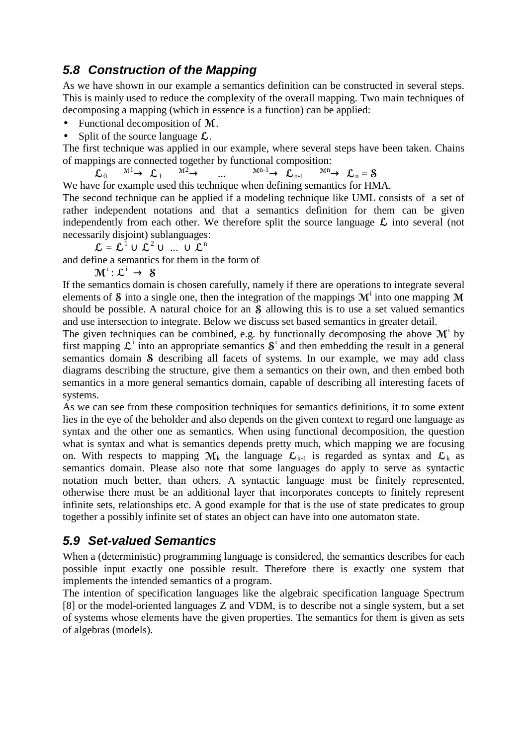### **5.8 Construction of the Mapping**

As we have shown in our example a semantics definition can be constructed in several steps. This is mainly used to reduce the complexity of the overall mapping. Two main techniques of decomposing a mapping (which in essence is a function) can be applied:

- Functional decomposition of  $M$ .
- Split of the source language  $\mathcal{L}$ .

The first technique was applied in our example, where several steps have been taken. Chains of mappings are connected together by functional composition:

 $\mathcal{L}_0$   $\stackrel{\text{M1}}{\longrightarrow}$   $\mathcal{L}_1$   $\stackrel{\text{M2}}{\longrightarrow}$  ...  $\stackrel{\text{Mn-1}}{\longrightarrow}$   $\mathcal{L}_{n-1}$   $\stackrel{\text{Mn}}{\longrightarrow}$   $\mathcal{L}_n = \mathcal{S}$ 

We have for example used this technique when defining semantics for HMA.

The second technique can be applied if a modeling technique like UML consists of a set of rather independent notations and that a semantics definition for them can be given independently from each other. We therefore split the source language  $\mathcal L$  into several (not necessarily disjoint) sublanguages:

$$
\mathcal{L} = \mathcal{L}^{1} \cup \mathcal{L}^{2} \cup ... \cup \mathcal{L}^{n}
$$

and define a semantics for them in the form of

 ${\mathbf M}^{\mathrm i}: {\mathcal L}^{\mathrm i} \to~\mathbf{S}$ 

If the semantics domain is chosen carefully, namely if there are operations to integrate several elements of S into a single one, then the integration of the mappings  $M^i$  into one mapping M should be possible. A natural choice for an  $S$  allowing this is to use a set valued semantics and use intersection to integrate. Below we discuss set based semantics in greater detail.

The given techniques can be combined, e.g. by functionally decomposing the above  $\mathcal{M}^{\dagger}$  by first mapping  $\mathcal{L}^i$  into an appropriate semantics  $\mathcal{S}^i$  and then embedding the result in a general semantics domain *S* describing all facets of systems. In our example, we may add class diagrams describing the structure, give them a semantics on their own, and then embed both semantics in a more general semantics domain, capable of describing all interesting facets of systems.

As we can see from these composition techniques for semantics definitions, it to some extent lies in the eye of the beholder and also depends on the given context to regard one language as syntax and the other one as semantics. When using functional decomposition, the question what is syntax and what is semantics depends pretty much, which mapping we are focusing on. With respects to mapping  $M_k$  the language  $\mathcal{L}_{k-1}$  is regarded as syntax and  $\mathcal{L}_k$  as semantics domain. Please also note that some languages do apply to serve as syntactic notation much better, than others. A syntactic language must be finitely represented, otherwise there must be an additional layer that incorporates concepts to finitely represent infinite sets, relationships etc. A good example for that is the use of state predicates to group together a possibly infinite set of states an object can have into one automaton state.

### **5.9 Set-valued Semantics**

When a (deterministic) programming language is considered, the semantics describes for each possible input exactly one possible result. Therefore there is exactly one system that implements the intended semantics of a program.

The intention of specification languages like the algebraic specification language Spectrum  $[8]$  or the model-oriented languages  $\overline{Z}$  and VDM, is to describe not a single system, but a set of systems whose elements have the given properties. The semantics for them is given as sets of algebras (models).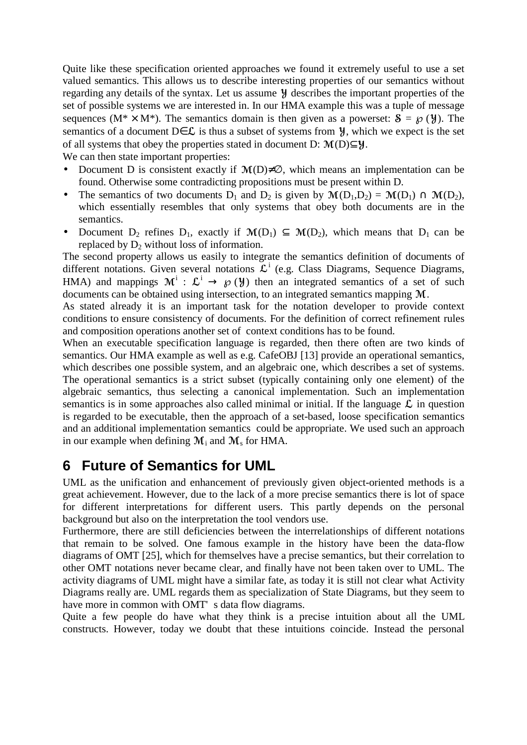Quite like these specification oriented approaches we found it extremely useful to use a set valued semantics. This allows us to describe interesting properties of our semantics without regarding any details of the syntax. Let us assume  $\mathcal Y$  describes the important properties of the set of possible systems we are interested in. In our HMA example this was a tuple of message sequences ( $M^* \times M^*$ ). The semantics domain is then given as a powerset:  $S = \mathcal{O}(\mathcal{Y})$ . The semantics of a document D $\in \mathcal{L}$  is thus a subset of systems from  $\mathcal{Y}$ , which we expect is the set of all systems that obey the properties stated in document D:  $\mathcal{M}(D) \subset \mathcal{Y}$ .

We can then state important properties:

- Document D is consistent exactly if  $M(D) \neq \emptyset$ , which means an implementation can be found. Otherwise some contradicting propositions must be present within D.
- The semantics of two documents D<sub>1</sub> and D<sub>2</sub> is given by  $\mathcal{M}(D_1,D_2) = \mathcal{M}(D_1) \cap \mathcal{M}(D_2)$ , which essentially resembles that only systems that obey both documents are in the semantics.
- Document D<sub>2</sub> refines D<sub>1</sub>, exactly if  $\mathcal{M}(D_1) \subset \mathcal{M}(D_2)$ , which means that D<sub>1</sub> can be replaced by  $D_2$  without loss of information.

The second property allows us easily to integrate the semantics definition of documents of different notations. Given several notations  $\mathcal{L}^i$  (e.g. Class Diagrams, Sequence Diagrams, HMA) and mappings  $\mathcal{M}^i$  :  $\mathcal{L}^i \to \mathcal{D}(\mathcal{Y})$  then an integrated semantics of a set of such documents can be obtained using intersection, to an integrated semantics mapping M.

As stated already it is an important task for the notation developer to provide context conditions to ensure consistency of documents. For the definition of correct refinement rules and composition operations another set of context conditions has to be found.

When an executable specification language is regarded, then there often are two kinds of semantics. Our HMA example as well as e.g. CafeOBJ [13] provide an operational semantics, which describes one possible system, and an algebraic one, which describes a set of systems. The operational semantics is a strict subset (typically containing only one element) of the algebraic semantics, thus selecting a canonical implementation. Such an implementation semantics is in some approaches also called minimal or initial. If the language  $\mathcal L$  in question is regarded to be executable, then the approach of a set-based, loose specification semantics and an additional implementation semantics could be appropriate. We used such an approach in our example when defining  $M_i$  and  $M_s$  for HMA.

### **6 Future of Semantics for UML**

UML as the unification and enhancement of previously given object-oriented methods is a great achievement. However, due to the lack of a more precise semantics there is lot of space for different interpretations for different users. This partly depends on the personal background but also on the interpretation the tool vendors use.

Furthermore, there are still deficiencies between the interrelationships of different notations that remain to be solved. One famous example in the history have been the data-flow diagrams of OMT [25], which for themselves have a precise semantics, but their correlation to other OMT notations never became clear, and finally have not been taken over to UML. The activity diagrams of UML might have a similar fate, as today it is still not clear what Activity Diagrams really are. UML regards them as specialization of State Diagrams, but they seem to have more in common with OMT' s data flow diagrams.

Quite a few people do have what they think is a precise intuition about all the UML constructs. However, today we doubt that these intuitions coincide. Instead the personal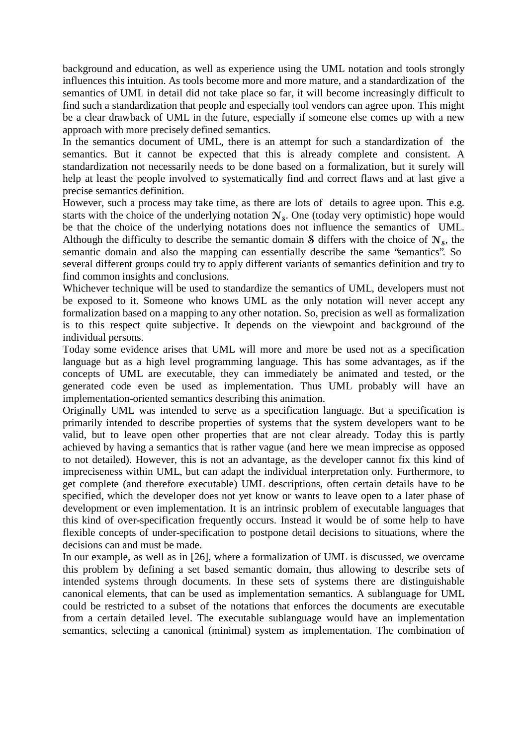background and education, as well as experience using the UML notation and tools strongly influences this intuition. As tools become more and more mature, and a standardization of the semantics of UML in detail did not take place so far, it will become increasingly difficult to find such a standardization that people and especially tool vendors can agree upon. This might be a clear drawback of UML in the future, especially if someone else comes up with a new approach with more precisely defined semantics.

In the semantics document of UML, there is an attempt for such a standardization of the semantics. But it cannot be expected that this is already complete and consistent. A standardization not necessarily needs to be done based on a formalization, but it surely will help at least the people involved to systematically find and correct flaws and at last give a precise semantics definition.

However, such a process may take time, as there are lots of details to agree upon. This e.g. starts with the choice of the underlying notation  $N_s$ . One (today very optimistic) hope would be that the choice of the underlying notations does not influence the semantics of UML. Although the difficulty to describe the semantic domain  $\delta$  differs with the choice of  $N_s$ , the semantic domain and also the mapping can essentially describe the same "semantics". So several different groups could try to apply different variants of semantics definition and try to find common insights and conclusions.

Whichever technique will be used to standardize the semantics of UML, developers must not be exposed to it. Someone who knows UML as the only notation will never accept any formalization based on a mapping to any other notation. So, precision as well as formalization is to this respect quite subjective. It depends on the viewpoint and background of the individual persons.

Today some evidence arises that UML will more and more be used not as a specification language but as a high level programming language. This has some advantages, as if the concepts of UML are executable, they can immediately be animated and tested, or the generated code even be used as implementation. Thus UML probably will have an implementation-oriented semantics describing this animation.

Originally UML was intended to serve as a specification language. But a specification is primarily intended to describe properties of systems that the system developers want to be valid, but to leave open other properties that are not clear already. Today this is partly achieved by having a semantics that is rather vague (and here we mean imprecise as opposed to not detailed). However, this is not an advantage, as the developer cannot fix this kind of impreciseness within UML, but can adapt the individual interpretation only. Furthermore, to get complete (and therefore executable) UML descriptions, often certain details have to be specified, which the developer does not yet know or wants to leave open to a later phase of development or even implementation. It is an intrinsic problem of executable languages that this kind of over-specification frequently occurs. Instead it would be of some help to have flexible concepts of under-specification to postpone detail decisions to situations, where the decisions can and must be made.

In our example, as well as in [26], where a formalization of UML is discussed, we overcame this problem by defining a set based semantic domain, thus allowing to describe sets of intended systems through documents. In these sets of systems there are distinguishable canonical elements, that can be used as implementation semantics. A sublanguage for UML could be restricted to a subset of the notations that enforces the documents are executable from a certain detailed level. The executable sublanguage would have an implementation semantics, selecting a canonical (minimal) system as implementation. The combination of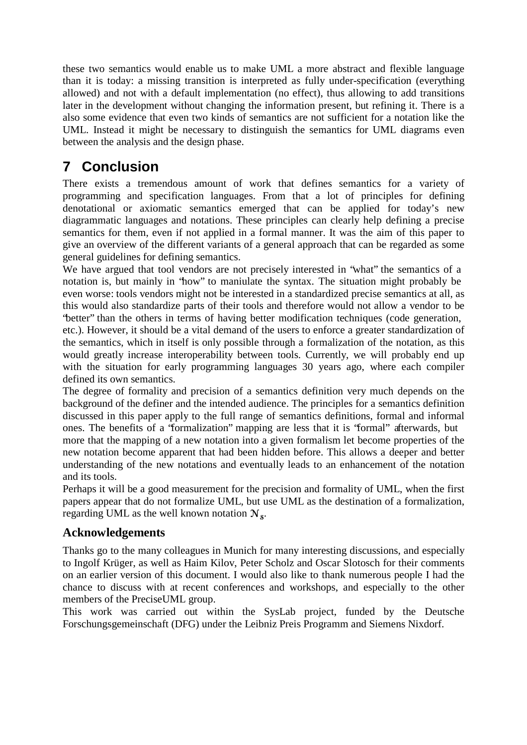these two semantics would enable us to make UML a more abstract and flexible language than it is today: a missing transition is interpreted as fully under-specification (everything allowed) and not with a default implementation (no effect), thus allowing to add transitions later in the development without changing the information present, but refining it. There is a also some evidence that even two kinds of semantics are not sufficient for a notation like the UML. Instead it might be necessary to distinguish the semantics for UML diagrams even between the analysis and the design phase.

# **7 Conclusion**

There exists a tremendous amount of work that defines semantics for a variety of programming and specification languages. From that a lot of principles for defining denotational or axiomatic semantics emerged that can be applied for today's new diagrammatic languages and notations. These principles can clearly help defining a precise semantics for them, even if not applied in a formal manner. It was the aim of this paper to give an overview of the different variants of a general approach that can be regarded as some general guidelines for defining semantics.

We have argued that tool vendors are not precisely interested in "what" the semantics of a notation is, but mainly in "how" to maniulate the syntax. The situation might probably be even worse: tools vendors might not be interested in a standardized precise semantics at all, as this would also standardize parts of their tools and therefore would not allow a vendor to be "better" than the others in terms of having better modification techniques (code generation,

etc.). However, it should be a vital demand of the users to enforce a greater standardization of the semantics, which in itself is only possible through a formalization of the notation, as this would greatly increase interoperability between tools. Currently, we will probably end up with the situation for early programming languages 30 years ago, where each compiler defined its own semantics.

The degree of formality and precision of a semantics definition very much depends on the background of the definer and the intended audience. The principles for a semantics definition discussed in this paper apply to the full range of semantics definitions, formal and informal ones. The benefits of a "formalization" mapping are less that it is "formal" afterwards, but more that the mapping of a new notation into a given formalism let become properties of the new notation become apparent that had been hidden before. This allows a deeper and better understanding of the new notations and eventually leads to an enhancement of the notation and its tools.

Perhaps it will be a good measurement for the precision and formality of UML, when the first papers appear that do not formalize UML, but use UML as the destination of a formalization, regarding UML as the well known notation  $N_s$ .

### **Acknowledgements**

Thanks go to the many colleagues in Munich for many interesting discussions, and especially to Ingolf Krüger, as well as Haim Kilov, Peter Scholz and Oscar Slotosch for their comments on an earlier version of this document. I would also like to thank numerous people I had the chance to discuss with at recent conferences and workshops, and especially to the other members of the PreciseUML group.

This work was carried out within the SysLab project, funded by the Deutsche Forschungsgemeinschaft (DFG) under the Leibniz Preis Programm and Siemens Nixdorf.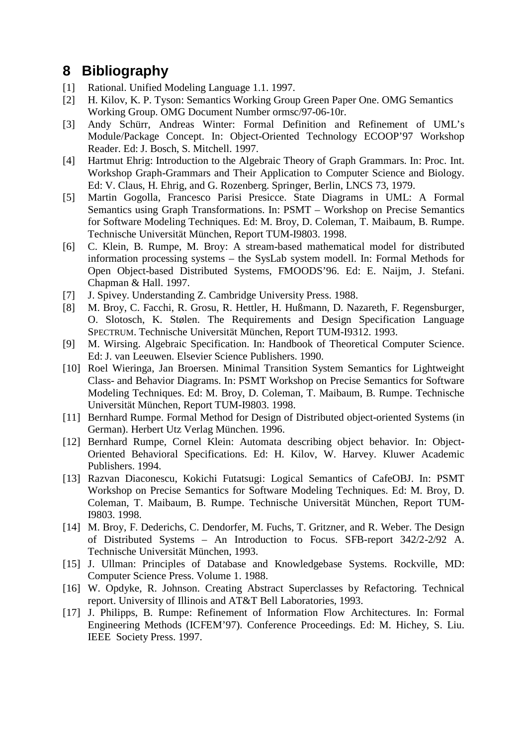### **8 Bibliography**

- [1] Rational. Unified Modeling Language 1.1. 1997.
- [2] H. Kilov, K. P. Tyson: Semantics Working Group Green Paper One. OMG Semantics Working Group. OMG Document Number ormsc/97-06-10r.
- [3] Andy Schürr, Andreas Winter: Formal Definition and Refinement of UML's Module/Package Concept. In: Object-Oriented Technology ECOOP'97 Workshop Reader. Ed: J. Bosch, S. Mitchell. 1997.
- [4] Hartmut Ehrig: Introduction to the Algebraic Theory of Graph Grammars. In: Proc. Int. Workshop Graph-Grammars and Their Application to Computer Science and Biology. Ed: V. Claus, H. Ehrig, and G. Rozenberg. Springer, Berlin, LNCS 73, 1979.
- [5] Martin Gogolla, Francesco Parisi Presicce. State Diagrams in UML: A Formal Semantics using Graph Transformations. In: PSMT – Workshop on Precise Semantics for Software Modeling Techniques. Ed: M. Broy, D. Coleman, T. Maibaum, B. Rumpe. Technische Universität München, Report TUM-I9803. 1998.
- [6] C. Klein, B. Rumpe, M. Broy: A stream-based mathematical model for distributed information processing systems – the SysLab system modell. In: Formal Methods for Open Object-based Distributed Systems, FMOODS'96. Ed: E. Naijm, J. Stefani. Chapman & Hall. 1997.
- [7] J. Spivey. Understanding Z. Cambridge University Press. 1988.
- [8] M. Broy, C. Facchi, R. Grosu, R. Hettler, H. Hußmann, D. Nazareth, F. Regensburger, O. Slotosch, K. Stølen. The Requirements and Design Specification Language SPECTRUM. Technische Universität München, Report TUM-I9312. 1993.
- [9] M. Wirsing. Algebraic Specification. In: Handbook of Theoretical Computer Science. Ed: J. van Leeuwen. Elsevier Science Publishers. 1990.
- [10] Roel Wieringa, Jan Broersen. Minimal Transition System Semantics for Lightweight Class- and Behavior Diagrams. In: PSMT Workshop on Precise Semantics for Software Modeling Techniques. Ed: M. Broy, D. Coleman, T. Maibaum, B. Rumpe. Technische Universität München, Report TUM-I9803. 1998.
- [11] Bernhard Rumpe. Formal Method for Design of Distributed object-oriented Systems (in German). Herbert Utz Verlag München. 1996.
- [12] Bernhard Rumpe, Cornel Klein: Automata describing object behavior. In: Object-Oriented Behavioral Specifications. Ed: H. Kilov, W. Harvey. Kluwer Academic Publishers. 1994.
- [13] Razvan Diaconescu, Kokichi Futatsugi: Logical Semantics of CafeOBJ. In: PSMT Workshop on Precise Semantics for Software Modeling Techniques. Ed: M. Broy, D. Coleman, T. Maibaum, B. Rumpe. Technische Universität München, Report TUM-I9803. 1998.
- [14] M. Broy, F. Dederichs, C. Dendorfer, M. Fuchs, T. Gritzner, and R. Weber. The Design of Distributed Systems – An Introduction to Focus. SFB-report 342/2-2/92 A. Technische Universität München, 1993.
- [15] J. Ullman: Principles of Database and Knowledgebase Systems. Rockville, MD: Computer Science Press. Volume 1. 1988.
- [16] W. Opdyke, R. Johnson. Creating Abstract Superclasses by Refactoring. Technical report. University of Illinois and AT&T Bell Laboratories, 1993.
- [17] J. Philipps, B. Rumpe: Refinement of Information Flow Architectures. In: Formal Engineering Methods (ICFEM'97). Conference Proceedings. Ed: M. Hichey, S. Liu. IEEE Society Press. 1997.